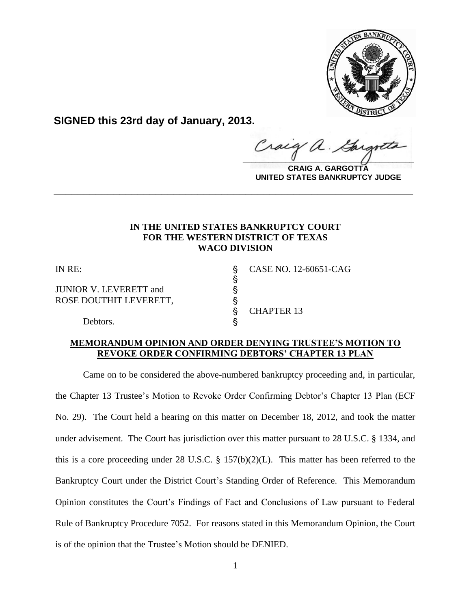

**SIGNED this 23rd day of January, 2013.**

 $\frac{1}{2}$ 

**CRAIG A. GARGOTTA UNITED STATES BANKRUPTCY JUDGE**

# **IN THE UNITED STATES BANKRUPTCY COURT FOR THE WESTERN DISTRICT OF TEXAS WACO DIVISION**

**\_\_\_\_\_\_\_\_\_\_\_\_\_\_\_\_\_\_\_\_\_\_\_\_\_\_\_\_\_\_\_\_\_\_\_\_\_\_\_\_\_\_\_\_\_\_\_\_\_\_\_\_\_\_\_\_\_\_\_\_**

 $\S$ 

JUNIOR V. LEVERETT and ' ROSE DOUTHIT LEVERETT,  $\S$ 

IN RE: ' CASE NO. 12-60651-CAG

§ CHAPTER 13

Debtors.

# **MEMORANDUM OPINION AND ORDER DENYING TRUSTEE'S MOTION TO REVOKE ORDER CONFIRMING DEBTORS' CHAPTER 13 PLAN**

Came on to be considered the above-numbered bankruptcy proceeding and, in particular, the Chapter 13 Trustee's Motion to Revoke Order Confirming Debtor's Chapter 13 Plan (ECF No. 29). The Court held a hearing on this matter on December 18, 2012, and took the matter under advisement. The Court has jurisdiction over this matter pursuant to 28 U.S.C. § 1334, and this is a core proceeding under 28 U.S.C. § 157(b)(2)(L). This matter has been referred to the Bankruptcy Court under the District Court's Standing Order of Reference. This Memorandum Opinion constitutes the Court's Findings of Fact and Conclusions of Law pursuant to Federal Rule of Bankruptcy Procedure 7052. For reasons stated in this Memorandum Opinion, the Court is of the opinion that the Trustee's Motion should be DENIED.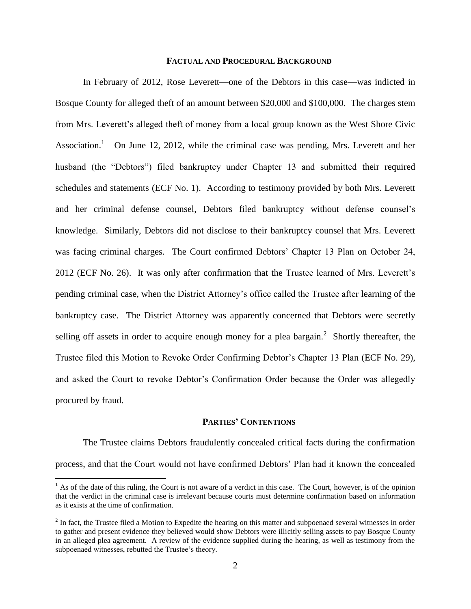## **FACTUAL AND PROCEDURAL BACKGROUND**

In February of 2012, Rose Leverett—one of the Debtors in this case—was indicted in Bosque County for alleged theft of an amount between \$20,000 and \$100,000. The charges stem from Mrs. Leverett's alleged theft of money from a local group known as the West Shore Civic Association.<sup>1</sup> On June 12, 2012, while the criminal case was pending, Mrs. Leverett and her husband (the "Debtors") filed bankruptcy under Chapter 13 and submitted their required schedules and statements (ECF No. 1). According to testimony provided by both Mrs. Leverett and her criminal defense counsel, Debtors filed bankruptcy without defense counsel's knowledge. Similarly, Debtors did not disclose to their bankruptcy counsel that Mrs. Leverett was facing criminal charges. The Court confirmed Debtors' Chapter 13 Plan on October 24, 2012 (ECF No. 26). It was only after confirmation that the Trustee learned of Mrs. Leverett's pending criminal case, when the District Attorney's office called the Trustee after learning of the bankruptcy case. The District Attorney was apparently concerned that Debtors were secretly selling off assets in order to acquire enough money for a plea bargain.<sup>2</sup> Shortly thereafter, the Trustee filed this Motion to Revoke Order Confirming Debtor's Chapter 13 Plan (ECF No. 29), and asked the Court to revoke Debtor's Confirmation Order because the Order was allegedly procured by fraud.

## **PARTIES' CONTENTIONS**

The Trustee claims Debtors fraudulently concealed critical facts during the confirmation process, and that the Court would not have confirmed Debtors' Plan had it known the concealed

 $\overline{a}$ 

 $<sup>1</sup>$  As of the date of this ruling, the Court is not aware of a verdict in this case. The Court, however, is of the opinion</sup> that the verdict in the criminal case is irrelevant because courts must determine confirmation based on information as it exists at the time of confirmation.

 $2^{2}$  In fact, the Trustee filed a Motion to Expedite the hearing on this matter and subpoenaed several witnesses in order to gather and present evidence they believed would show Debtors were illicitly selling assets to pay Bosque County in an alleged plea agreement. A review of the evidence supplied during the hearing, as well as testimony from the subpoenaed witnesses, rebutted the Trustee's theory.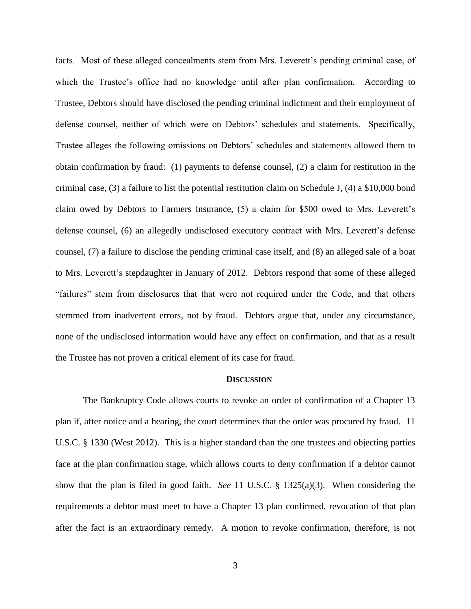facts. Most of these alleged concealments stem from Mrs. Leverett's pending criminal case, of which the Trustee's office had no knowledge until after plan confirmation. According to Trustee, Debtors should have disclosed the pending criminal indictment and their employment of defense counsel, neither of which were on Debtors' schedules and statements. Specifically, Trustee alleges the following omissions on Debtors' schedules and statements allowed them to obtain confirmation by fraud: (1) payments to defense counsel, (2) a claim for restitution in the criminal case, (3) a failure to list the potential restitution claim on Schedule J, (4) a \$10,000 bond claim owed by Debtors to Farmers Insurance, (5) a claim for \$500 owed to Mrs. Leverett's defense counsel, (6) an allegedly undisclosed executory contract with Mrs. Leverett's defense counsel, (7) a failure to disclose the pending criminal case itself, and (8) an alleged sale of a boat to Mrs. Leverett's stepdaughter in January of 2012. Debtors respond that some of these alleged "failures" stem from disclosures that that were not required under the Code, and that others stemmed from inadvertent errors, not by fraud. Debtors argue that, under any circumstance, none of the undisclosed information would have any effect on confirmation, and that as a result the Trustee has not proven a critical element of its case for fraud.

#### **DISCUSSION**

The Bankruptcy Code allows courts to revoke an order of confirmation of a Chapter 13 plan if, after notice and a hearing, the court determines that the order was procured by fraud. 11 U.S.C. § 1330 (West 2012). This is a higher standard than the one trustees and objecting parties face at the plan confirmation stage, which allows courts to deny confirmation if a debtor cannot show that the plan is filed in good faith. *See* 11 U.S.C. § 1325(a)(3). When considering the requirements a debtor must meet to have a Chapter 13 plan confirmed, revocation of that plan after the fact is an extraordinary remedy. A motion to revoke confirmation, therefore, is not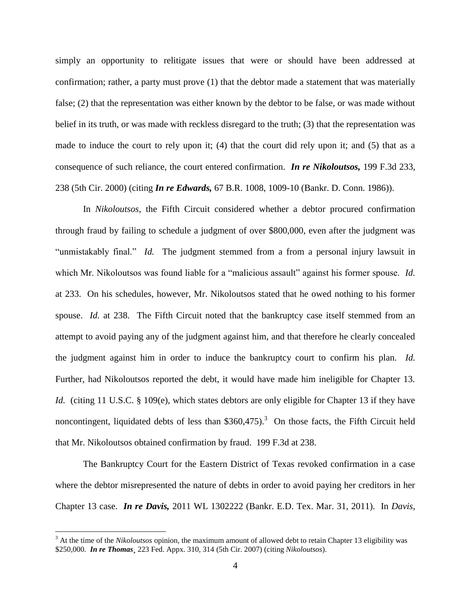simply an opportunity to relitigate issues that were or should have been addressed at confirmation; rather, a party must prove (1) that the debtor made a statement that was materially false; (2) that the representation was either known by the debtor to be false, or was made without belief in its truth, or was made with reckless disregard to the truth; (3) that the representation was made to induce the court to rely upon it; (4) that the court did rely upon it; and (5) that as a consequence of such reliance, the court entered confirmation. *In re Nikoloutsos,* 199 F.3d 233, 238 (5th Cir. 2000) (citing *In re Edwards,* 67 B.R. 1008, 1009-10 (Bankr. D. Conn. 1986)).

In *Nikoloutsos*, the Fifth Circuit considered whether a debtor procured confirmation through fraud by failing to schedule a judgment of over \$800,000, even after the judgment was "unmistakably final." *Id.* The judgment stemmed from a from a personal injury lawsuit in which Mr. Nikoloutsos was found liable for a "malicious assault" against his former spouse. *Id.* at 233. On his schedules, however, Mr. Nikoloutsos stated that he owed nothing to his former spouse. *Id.* at 238. The Fifth Circuit noted that the bankruptcy case itself stemmed from an attempt to avoid paying any of the judgment against him, and that therefore he clearly concealed the judgment against him in order to induce the bankruptcy court to confirm his plan. *Id.* Further, had Nikoloutsos reported the debt, it would have made him ineligible for Chapter 13. *Id.* (citing 11 U.S.C. § 109(e), which states debtors are only eligible for Chapter 13 if they have noncontingent, liquidated debts of less than  $$360,475$ ).<sup>3</sup> On those facts, the Fifth Circuit held that Mr. Nikoloutsos obtained confirmation by fraud. 199 F.3d at 238.

The Bankruptcy Court for the Eastern District of Texas revoked confirmation in a case where the debtor misrepresented the nature of debts in order to avoid paying her creditors in her Chapter 13 case. *In re Davis,* 2011 WL 1302222 (Bankr. E.D. Tex. Mar. 31, 2011). In *Davis*,

 $\overline{a}$ 

<sup>3</sup> At the time of the *Nikoloutsos* opinion, the maximum amount of allowed debt to retain Chapter 13 eligibility was \$250,000. *In re Thomas***¸** 223 Fed. Appx. 310, 314 (5th Cir. 2007) (citing *Nikoloutsos*).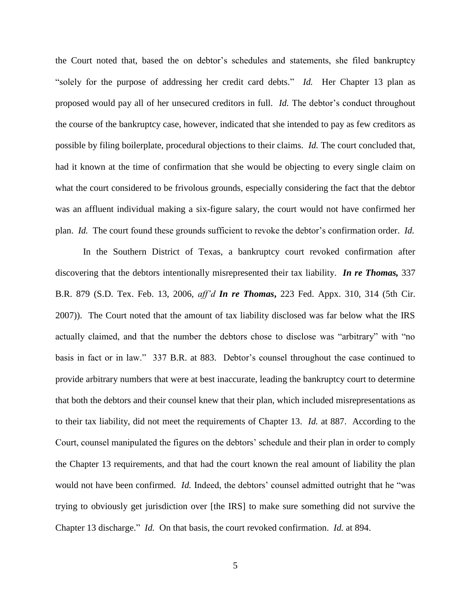the Court noted that, based the on debtor's schedules and statements, she filed bankruptcy "solely for the purpose of addressing her credit card debts." *Id.* Her Chapter 13 plan as proposed would pay all of her unsecured creditors in full. *Id.* The debtor's conduct throughout the course of the bankruptcy case, however, indicated that she intended to pay as few creditors as possible by filing boilerplate, procedural objections to their claims. *Id.* The court concluded that, had it known at the time of confirmation that she would be objecting to every single claim on what the court considered to be frivolous grounds, especially considering the fact that the debtor was an affluent individual making a six-figure salary, the court would not have confirmed her plan. *Id.* The court found these grounds sufficient to revoke the debtor's confirmation order. *Id.*

In the Southern District of Texas, a bankruptcy court revoked confirmation after discovering that the debtors intentionally misrepresented their tax liability. *In re Thomas,* 337 B.R. 879 (S.D. Tex. Feb. 13, 2006, *aff'd In re Thomas***,** 223 Fed. Appx. 310, 314 (5th Cir. 2007)). The Court noted that the amount of tax liability disclosed was far below what the IRS actually claimed, and that the number the debtors chose to disclose was "arbitrary" with "no basis in fact or in law." 337 B.R. at 883. Debtor's counsel throughout the case continued to provide arbitrary numbers that were at best inaccurate, leading the bankruptcy court to determine that both the debtors and their counsel knew that their plan, which included misrepresentations as to their tax liability, did not meet the requirements of Chapter 13. *Id.* at 887. According to the Court, counsel manipulated the figures on the debtors' schedule and their plan in order to comply the Chapter 13 requirements, and that had the court known the real amount of liability the plan would not have been confirmed. *Id.* Indeed, the debtors' counsel admitted outright that he "was trying to obviously get jurisdiction over [the IRS] to make sure something did not survive the Chapter 13 discharge." *Id.* On that basis, the court revoked confirmation. *Id.* at 894.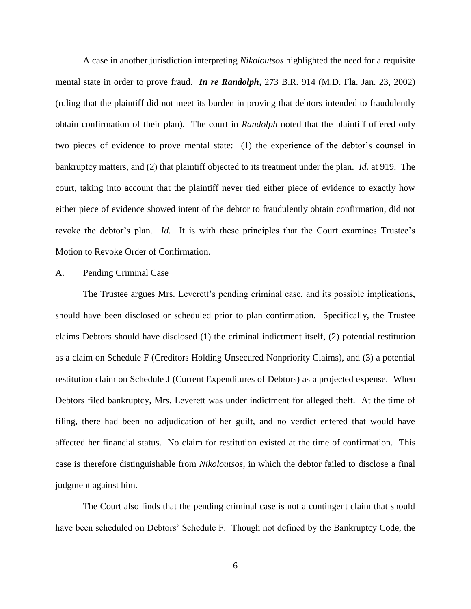A case in another jurisdiction interpreting *Nikoloutsos* highlighted the need for a requisite mental state in order to prove fraud. *In re Randolph***,** 273 B.R. 914 (M.D. Fla. Jan. 23, 2002) (ruling that the plaintiff did not meet its burden in proving that debtors intended to fraudulently obtain confirmation of their plan). The court in *Randolph* noted that the plaintiff offered only two pieces of evidence to prove mental state: (1) the experience of the debtor's counsel in bankruptcy matters, and (2) that plaintiff objected to its treatment under the plan. *Id.* at 919. The court, taking into account that the plaintiff never tied either piece of evidence to exactly how either piece of evidence showed intent of the debtor to fraudulently obtain confirmation, did not revoke the debtor's plan. *Id.* It is with these principles that the Court examines Trustee's Motion to Revoke Order of Confirmation.

### A. Pending Criminal Case

The Trustee argues Mrs. Leverett's pending criminal case, and its possible implications, should have been disclosed or scheduled prior to plan confirmation. Specifically, the Trustee claims Debtors should have disclosed (1) the criminal indictment itself, (2) potential restitution as a claim on Schedule F (Creditors Holding Unsecured Nonpriority Claims), and (3) a potential restitution claim on Schedule J (Current Expenditures of Debtors) as a projected expense. When Debtors filed bankruptcy, Mrs. Leverett was under indictment for alleged theft. At the time of filing, there had been no adjudication of her guilt, and no verdict entered that would have affected her financial status. No claim for restitution existed at the time of confirmation. This case is therefore distinguishable from *Nikoloutsos*, in which the debtor failed to disclose a final judgment against him.

The Court also finds that the pending criminal case is not a contingent claim that should have been scheduled on Debtors' Schedule F. Though not defined by the Bankruptcy Code, the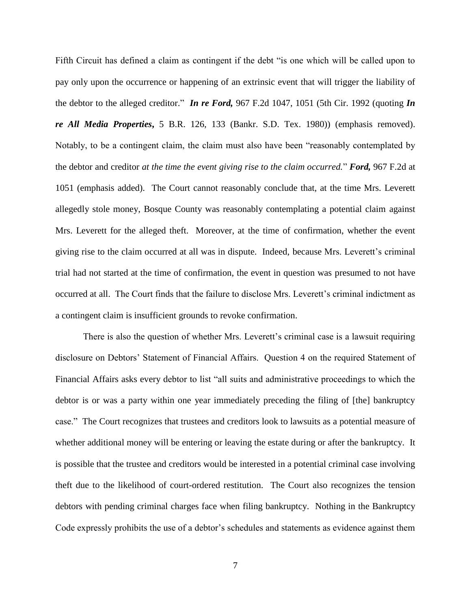Fifth Circuit has defined a claim as contingent if the debt "is one which will be called upon to pay only upon the occurrence or happening of an extrinsic event that will trigger the liability of the debtor to the alleged creditor." *In re Ford,* 967 F.2d 1047, 1051 (5th Cir. 1992 (quoting *In re All Media Properties***,** 5 B.R. 126, 133 (Bankr. S.D. Tex. 1980)) (emphasis removed). Notably, to be a contingent claim, the claim must also have been "reasonably contemplated by the debtor and creditor *at the time the event giving rise to the claim occurred.*" *Ford,* 967 F.2d at 1051 (emphasis added). The Court cannot reasonably conclude that, at the time Mrs. Leverett allegedly stole money, Bosque County was reasonably contemplating a potential claim against Mrs. Leverett for the alleged theft. Moreover, at the time of confirmation, whether the event giving rise to the claim occurred at all was in dispute. Indeed, because Mrs. Leverett's criminal trial had not started at the time of confirmation, the event in question was presumed to not have occurred at all. The Court finds that the failure to disclose Mrs. Leverett's criminal indictment as a contingent claim is insufficient grounds to revoke confirmation.

There is also the question of whether Mrs. Leverett's criminal case is a lawsuit requiring disclosure on Debtors' Statement of Financial Affairs. Question 4 on the required Statement of Financial Affairs asks every debtor to list "all suits and administrative proceedings to which the debtor is or was a party within one year immediately preceding the filing of [the] bankruptcy case." The Court recognizes that trustees and creditors look to lawsuits as a potential measure of whether additional money will be entering or leaving the estate during or after the bankruptcy. It is possible that the trustee and creditors would be interested in a potential criminal case involving theft due to the likelihood of court-ordered restitution. The Court also recognizes the tension debtors with pending criminal charges face when filing bankruptcy. Nothing in the Bankruptcy Code expressly prohibits the use of a debtor's schedules and statements as evidence against them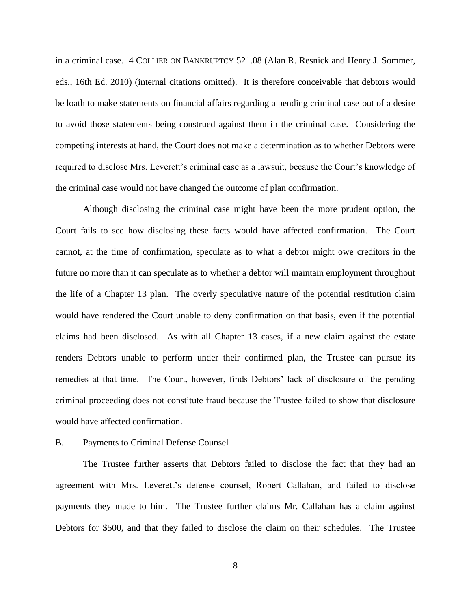in a criminal case. 4 COLLIER ON BANKRUPTCY 521.08 (Alan R. Resnick and Henry J. Sommer, eds., 16th Ed. 2010) (internal citations omitted). It is therefore conceivable that debtors would be loath to make statements on financial affairs regarding a pending criminal case out of a desire to avoid those statements being construed against them in the criminal case. Considering the competing interests at hand, the Court does not make a determination as to whether Debtors were required to disclose Mrs. Leverett's criminal case as a lawsuit, because the Court's knowledge of the criminal case would not have changed the outcome of plan confirmation.

Although disclosing the criminal case might have been the more prudent option, the Court fails to see how disclosing these facts would have affected confirmation. The Court cannot, at the time of confirmation, speculate as to what a debtor might owe creditors in the future no more than it can speculate as to whether a debtor will maintain employment throughout the life of a Chapter 13 plan. The overly speculative nature of the potential restitution claim would have rendered the Court unable to deny confirmation on that basis, even if the potential claims had been disclosed. As with all Chapter 13 cases, if a new claim against the estate renders Debtors unable to perform under their confirmed plan, the Trustee can pursue its remedies at that time. The Court, however, finds Debtors' lack of disclosure of the pending criminal proceeding does not constitute fraud because the Trustee failed to show that disclosure would have affected confirmation.

#### B. Payments to Criminal Defense Counsel

The Trustee further asserts that Debtors failed to disclose the fact that they had an agreement with Mrs. Leverett's defense counsel, Robert Callahan, and failed to disclose payments they made to him. The Trustee further claims Mr. Callahan has a claim against Debtors for \$500, and that they failed to disclose the claim on their schedules. The Trustee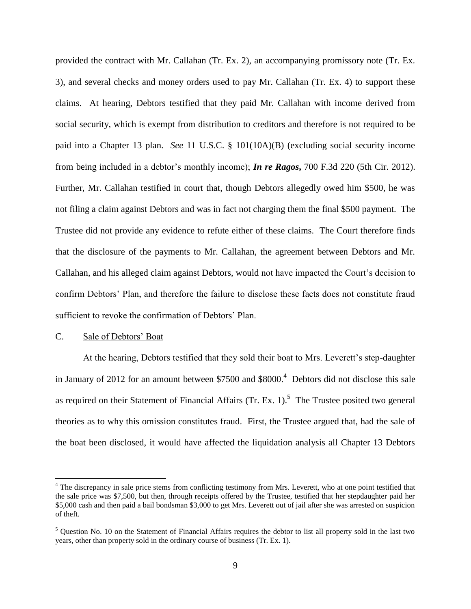provided the contract with Mr. Callahan (Tr. Ex. 2), an accompanying promissory note (Tr. Ex. 3), and several checks and money orders used to pay Mr. Callahan (Tr. Ex. 4) to support these claims. At hearing, Debtors testified that they paid Mr. Callahan with income derived from social security, which is exempt from distribution to creditors and therefore is not required to be paid into a Chapter 13 plan. *See* 11 U.S.C. § 101(10A)(B) (excluding social security income from being included in a debtor's monthly income); *In re Ragos***,** 700 F.3d 220 (5th Cir. 2012). Further, Mr. Callahan testified in court that, though Debtors allegedly owed him \$500, he was not filing a claim against Debtors and was in fact not charging them the final \$500 payment. The Trustee did not provide any evidence to refute either of these claims. The Court therefore finds that the disclosure of the payments to Mr. Callahan, the agreement between Debtors and Mr. Callahan, and his alleged claim against Debtors, would not have impacted the Court's decision to confirm Debtors' Plan, and therefore the failure to disclose these facts does not constitute fraud sufficient to revoke the confirmation of Debtors' Plan.

## C. Sale of Debtors' Boat

 $\overline{a}$ 

At the hearing, Debtors testified that they sold their boat to Mrs. Leverett's step-daughter in January of 2012 for an amount between \$7500 and \$8000.<sup>4</sup> Debtors did not disclose this sale as required on their Statement of Financial Affairs  $(Tr. Ex. 1).$ <sup>5</sup> The Trustee posited two general theories as to why this omission constitutes fraud. First, the Trustee argued that, had the sale of the boat been disclosed, it would have affected the liquidation analysis all Chapter 13 Debtors

<sup>&</sup>lt;sup>4</sup> The discrepancy in sale price stems from conflicting testimony from Mrs. Leverett, who at one point testified that the sale price was \$7,500, but then, through receipts offered by the Trustee, testified that her stepdaughter paid her \$5,000 cash and then paid a bail bondsman \$3,000 to get Mrs. Leverett out of jail after she was arrested on suspicion of theft.

<sup>5</sup> Question No. 10 on the Statement of Financial Affairs requires the debtor to list all property sold in the last two years, other than property sold in the ordinary course of business (Tr. Ex. 1).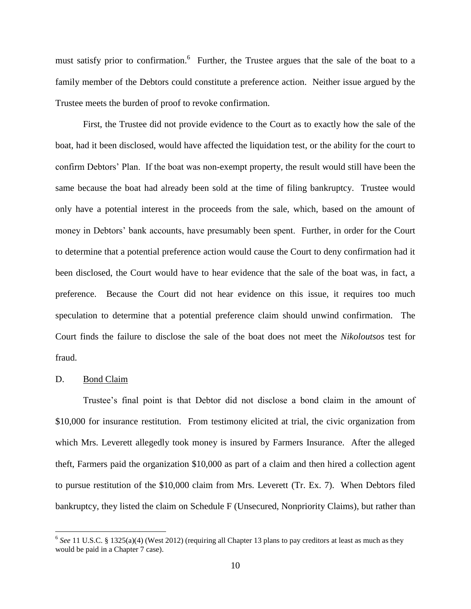must satisfy prior to confirmation.<sup>6</sup> Further, the Trustee argues that the sale of the boat to a family member of the Debtors could constitute a preference action. Neither issue argued by the Trustee meets the burden of proof to revoke confirmation.

First, the Trustee did not provide evidence to the Court as to exactly how the sale of the boat, had it been disclosed, would have affected the liquidation test, or the ability for the court to confirm Debtors' Plan. If the boat was non-exempt property, the result would still have been the same because the boat had already been sold at the time of filing bankruptcy. Trustee would only have a potential interest in the proceeds from the sale, which, based on the amount of money in Debtors' bank accounts, have presumably been spent. Further, in order for the Court to determine that a potential preference action would cause the Court to deny confirmation had it been disclosed, the Court would have to hear evidence that the sale of the boat was, in fact, a preference. Because the Court did not hear evidence on this issue, it requires too much speculation to determine that a potential preference claim should unwind confirmation. The Court finds the failure to disclose the sale of the boat does not meet the *Nikoloutsos* test for fraud.

# D. Bond Claim

 $\overline{a}$ 

Trustee's final point is that Debtor did not disclose a bond claim in the amount of \$10,000 for insurance restitution. From testimony elicited at trial, the civic organization from which Mrs. Leverett allegedly took money is insured by Farmers Insurance. After the alleged theft, Farmers paid the organization \$10,000 as part of a claim and then hired a collection agent to pursue restitution of the \$10,000 claim from Mrs. Leverett (Tr. Ex. 7). When Debtors filed bankruptcy, they listed the claim on Schedule F (Unsecured, Nonpriority Claims), but rather than

 $6$  See 11 U.S.C. § 1325(a)(4) (West 2012) (requiring all Chapter 13 plans to pay creditors at least as much as they would be paid in a Chapter 7 case).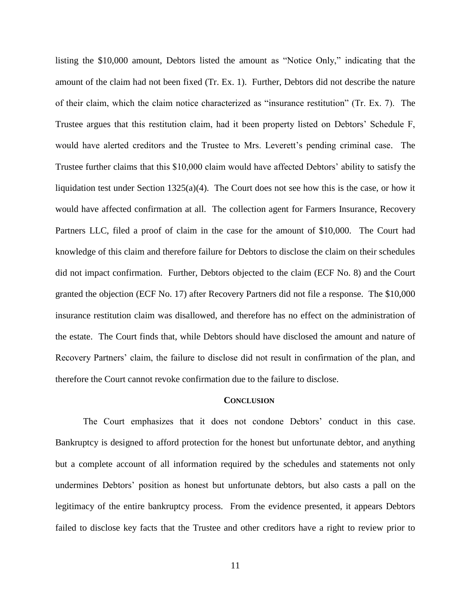listing the \$10,000 amount, Debtors listed the amount as "Notice Only," indicating that the amount of the claim had not been fixed (Tr. Ex. 1). Further, Debtors did not describe the nature of their claim, which the claim notice characterized as "insurance restitution" (Tr. Ex. 7). The Trustee argues that this restitution claim, had it been property listed on Debtors' Schedule F, would have alerted creditors and the Trustee to Mrs. Leverett's pending criminal case. The Trustee further claims that this \$10,000 claim would have affected Debtors' ability to satisfy the liquidation test under Section 1325(a)(4). The Court does not see how this is the case, or how it would have affected confirmation at all. The collection agent for Farmers Insurance, Recovery Partners LLC, filed a proof of claim in the case for the amount of \$10,000. The Court had knowledge of this claim and therefore failure for Debtors to disclose the claim on their schedules did not impact confirmation. Further, Debtors objected to the claim (ECF No. 8) and the Court granted the objection (ECF No. 17) after Recovery Partners did not file a response. The \$10,000 insurance restitution claim was disallowed, and therefore has no effect on the administration of the estate. The Court finds that, while Debtors should have disclosed the amount and nature of Recovery Partners' claim, the failure to disclose did not result in confirmation of the plan, and therefore the Court cannot revoke confirmation due to the failure to disclose.

#### **CONCLUSION**

The Court emphasizes that it does not condone Debtors' conduct in this case. Bankruptcy is designed to afford protection for the honest but unfortunate debtor, and anything but a complete account of all information required by the schedules and statements not only undermines Debtors' position as honest but unfortunate debtors, but also casts a pall on the legitimacy of the entire bankruptcy process. From the evidence presented, it appears Debtors failed to disclose key facts that the Trustee and other creditors have a right to review prior to